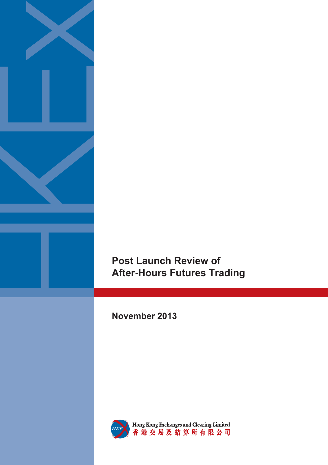

# **Post Launch Review of After-Hours Futures Trading**

**November 2013** 

i<br>I



Hong Kong Exchanges and Clearing Limited<br>香港交易及結算所有限公司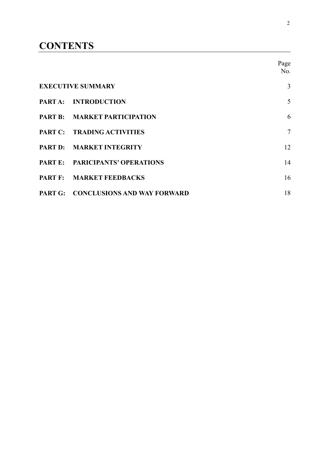## **CONTENTS**

|                                     | Page<br>No.    |
|-------------------------------------|----------------|
| <b>EXECUTIVE SUMMARY</b>            | 3              |
| PART A: INTRODUCTION                | 5              |
| <b>PART B: MARKET PARTICIPATION</b> | 6              |
| PART C: TRADING ACTIVITIES          | $\overline{7}$ |
| PART D: MARKET INTEGRITY            | 12             |
| PART E: PARICIPANTS' OPERATIONS     | 14             |
| PART F: MARKET FEEDBACKS            | 16             |
| PART G: CONCLUSIONS AND WAY FORWARD | 18             |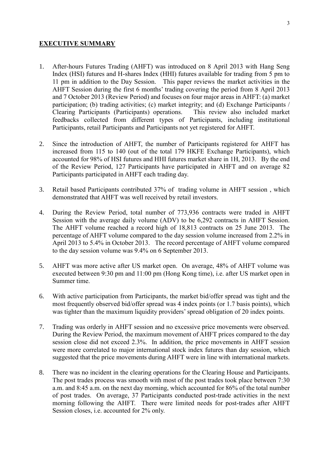## **EXECUTIVE SUMMARY**

- 1. After-hours Futures Trading (AHFT) was introduced on 8 April 2013 with Hang Seng Index (HSI) futures and H-shares Index (HHI) futures available for trading from 5 pm to 11 pm in addition to the Day Session. This paper reviews the market activities in the AHFT Session during the first 6 months' trading covering the period from 8 April 2013 and 7 October 2013 (Review Period) and focuses on four major areas in AHFT: (a) market participation; (b) trading activities; (c) market integrity; and (d) Exchange Participants / Clearing Participants (Participants) operations. This review also included market Clearing Participants (Participants) operations. feedbacks collected from different types of Participants, including institutional Participants, retail Participants and Participants not yet registered for AHFT.
- 2. Since the introduction of AHFT, the number of Participants registered for AHFT has increased from 115 to 140 (out of the total 179 HKFE Exchange Participants), which accounted for 98% of HSI futures and HHI futures market share in 1H, 2013. By the end of the Review Period, 127 Participants have participated in AHFT and on average 82 Participants participated in AHFT each trading day.
- 3. Retail based Participants contributed 37% of trading volume in AHFT session , which demonstrated that AHFT was well received by retail investors.
- 4. During the Review Period, total number of 773,936 contracts were traded in AHFT Session with the average daily volume (ADV) to be 6,292 contracts in AHFT Session. The AHFT volume reached a record high of 18,813 contracts on 25 June 2013. The percentage of AHFT volume compared to the day session volume increased from 2.2% in April 2013 to 5.4% in October 2013. The record percentage of AHFT volume compared to the day session volume was 9.4% on 6 September 2013.
- 5. AHFT was more active after US market open. On average, 48% of AHFT volume was executed between 9:30 pm and 11:00 pm (Hong Kong time), i.e. after US market open in Summer time.
- 6. With active participation from Participants, the market bid/offer spread was tight and the most frequently observed bid/offer spread was 4 index points (or 1.7 basis points), which was tighter than the maximum liquidity providers' spread obligation of 20 index points.
- 7. Trading was orderly in AHFT session and no excessive price movements were observed. During the Review Period, the maximum movement of AHFT prices compared to the day session close did not exceed 2.3%. In addition, the price movements in AHFT session were more correlated to major international stock index futures than day session, which suggested that the price movements during AHFT were in line with international markets.
- 8. There was no incident in the clearing operations for the Clearing House and Participants. The post trades process was smooth with most of the post trades took place between 7:30 a.m. and 8:45 a.m. on the next day morning, which accounted for 86% of the total number of post trades. On average, 37 Participants conducted post-trade activities in the next morning following the AHFT. There were limited needs for post-trades after AHFT Session closes, i.e. accounted for  $2\%$  only.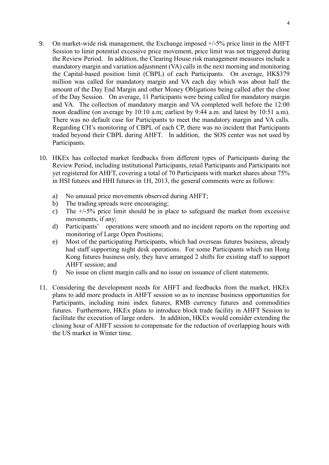- 9. On market-wide risk management, the Exchange imposed +/-5% price limit in the AHFT Session to limit potential excessive price movement, price limit was not triggered during the Review Period. In addition, the Clearing House risk management measures include a mandatory margin and variation adjustment (VA) calls in the next morning and monitoring the Capital-based position limit (CBPL) of each Participants. On average, HK\$379 million was called for mandatory margin and VA each day which was about half the amount of the Day End Margin and other Money Obligations being called after the close of the Day Session. On average, 11 Participants were being called for mandatory margin and VA. The collection of mandatory margin and VA completed well before the 12:00 noon deadline (on average by 10:10 a.m; earliest by 9:44 a.m. and latest by 10:51 a.m). There was no default case for Participants to meet the mandatory margin and VA calls. Regarding CH's monitoring of CBPL of each CP, there was no incident that Participants traded beyond their CBPL during AHFT. In addition, the SOS center was not used by Participants.
- 10. HKEx has collected market feedbacks from different types of Participants during the Review Period, including institutional Participants, retail Participants and Participants not yet registered for AHFT, covering a total of 70 Participants with market shares about 75% in HSI futures and HHI futures in 1H, 2013, the general comments were as follows:
	- a) No unusual price movements observed during AHFT;
	- b) The trading spreads were encouraging;
	- c) The +/-5% price limit should be in place to safeguard the market from excessive movements, if any;
	- d) Participants' operations were smooth and no incident reports on the reporting and monitoring of Large Open Positions;
	- e) Most of the participating Participants, which had overseas futures business, already had staff supporting night desk operations. For some Participants which ran Hong Kong futures business only, they have arranged 2 shifts for existing staff to support AHFT session; and
	- f) No issue on client margin calls and no issue on issuance of client statements.
- 11. Considering the development needs for AHFT and feedbacks from the market, HKEx plans to add more products in AHFT session so as to increase business opportunities for Participants, including mini index futures, RMB currency futures and commodities futures. Furthermore, HKEx plans to introduce block trade facility in AHFT Session to facilitate the execution of large orders. In addition, HKEx would consider extending the closing hour of AHFT session to compensate for the reduction of overlapping hours with the US market in Winter time.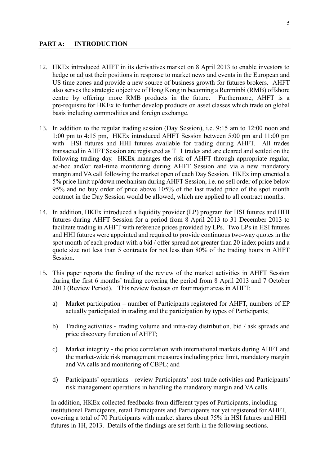- 12. HKEx introduced AHFT in its derivatives market on 8 April 2013 to enable investors to hedge or adjust their positions in response to market news and events in the European and US time zones and provide a new source of business growth for futures brokers. AHFT also serves the strategic objective of Hong Kong in becoming a Renminbi (RMB) offshore centre by offering more RMB products in the future. Furthermore, AHFT is a pre-requisite for HKEx to further develop products on asset classes which trade on global basis including commodities and foreign exchange.
- 13. In addition to the regular trading session (Day Session), i.e. 9:15 am to 12:00 noon and 1:00 pm to 4:15 pm, HKEx introduced AHFT Session between 5:00 pm and 11:00 pm with HSI futures and HHI futures available for trading during AHFT. All trades transacted in AHFT Session are registered as T+1 trades and are cleared and settled on the following trading day. HKEx manages the risk of AHFT through appropriate regular, ad-hoc and/or real-time monitoring during AHFT Session and via a new mandatory margin and VA call following the market open of each Day Session. HKEx implemented a 5% price limit up/down mechanism during AHFT Session, i.e. no sell order of price below 95% and no buy order of price above 105% of the last traded price of the spot month contract in the Day Session would be allowed, which are applied to all contract months.
- 14. In addition, HKEx introduced a liquidity provider (LP) program for HSI futures and HHI futures during AHFT Session for a period from 8 April 2013 to 31 December 2013 to facilitate trading in AHFT with reference prices provided by LPs. Two LPs in HSI futures and HHI futures were appointed and required to provide continuous two-way quotes in the spot month of each product with a bid / offer spread not greater than 20 index points and a quote size not less than 5 contracts for not less than 80% of the trading hours in AHFT Session.
- 15. This paper reports the finding of the review of the market activities in AHFT Session during the first 6 months' trading covering the period from 8 April 2013 and 7 October 2013 (Review Period). This review focuses on four major areas in AHFT:
	- a) Market participation number of Participants registered for AHFT, numbers of EP actually participated in trading and the participation by types of Participants;
	- b) Trading activities trading volume and intra-day distribution, bid / ask spreads and price discovery function of AHFT;
	- c) Market integrity the price correlation with international markets during AHFT and the market-wide risk management measures including price limit, mandatory margin and VA calls and monitoring of CBPL; and
	- d) Participants' operations review Participants' post-trade activities and Participants' risk management operations in handling the mandatory margin and VA calls.

In addition, HKEx collected feedbacks from different types of Participants, including institutional Participants, retail Participants and Participants not yet registered for AHFT, covering a total of 70 Participants with market shares about 75% in HSI futures and HHI futures in 1H, 2013. Details of the findings are set forth in the following sections.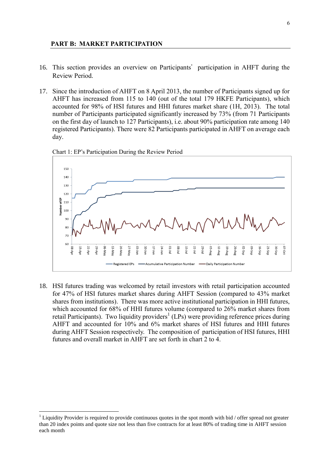#### **PART B: MARKET PARTICIPATION**

- 16. This section provides an overview on Participants'participation in AHFT during the Review Period.
- 17. Since the introduction of AHFT on 8 April 2013, the number of Participants signed up for AHFT has increased from 115 to 140 (out of the total 179 HKFE Participants), which accounted for 98% of HSI futures and HHI futures market share (1H, 2013). The total number of Participants participated significantly increased by 73% (from 71 Participants on the first day of launch to 127 Participants), i.e. about 90% participation rate among 140 registered Participants). There were 82 Participants participated in AHFT on average each day.



Chart 1: EP's Participation During the Review Period

18. HSI futures trading was welcomed by retail investors with retail participation accounted for 47% of HSI futures market shares during AHFT Session (compared to 43% market shares from institutions). There was more active institutional participation in HHI futures, which accounted for 68% of HHI futures volume (compared to 26% market shares from retail Participants). Two liquidity providers<sup>1</sup> (LPs) were providing reference prices during AHFT and accounted for 10% and 6% market shares of HSI futures and HHI futures during AHFT Session respectively. The composition of participation of HSI futures, HHI futures and overall market in AHFT are set forth in chart 2 to 4.

 $\overline{a}$ 

 $1$  Liquidity Provider is required to provide continuous quotes in the spot month with bid  $/$  offer spread not greater than 20 index points and quote size not less than five contracts for at least 80% of trading time in AHFT session each month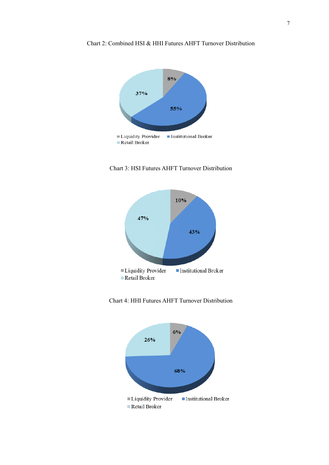

Chart 2: Combined HSI & HHI Futures AHFT Turnover Distribution







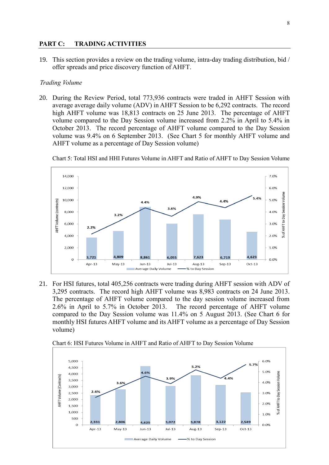#### **PART C: TRADING ACTIVITIES**

19. This section provides a review on the trading volume, intra-day trading distribution, bid / offer spreads and price discovery function of AHFT.

## *Trading Volume*

20. During the Review Period, total 773,936 contracts were traded in AHFT Session with average average daily volume (ADV) in AHFT Session to be 6,292 contracts. The record high AHFT volume was 18,813 contracts on 25 June 2013. The percentage of AHFT volume compared to the Day Session volume increased from 2.2% in April to 5.4% in October 2013. The record percentage of AHFT volume compared to the Day Session volume was 9.4% on 6 September 2013. (See Chart 5 for monthly AHFT volume and AHFT volume as a percentage of Day Session volume)





21. For HSI futures, total 405,256 contracts were trading during AHFT session with ADV of 3,295 contracts. The record high AHFT volume was 8,983 contracts on 24 June 2013. The percentage of AHFT volume compared to the day session volume increased from 2.6% in April to 5.7% in October 2013. The record percentage of AHFT volume compared to the Day Session volume was 11.4% on 5 August 2013. (See Chart 6 for monthly HSI futures AHFT volume and its AHFT volume as a percentage of Day Session volume)



Chart 6: HSI Futures Volume in AHFT and Ratio of AHFT to Day Session Volume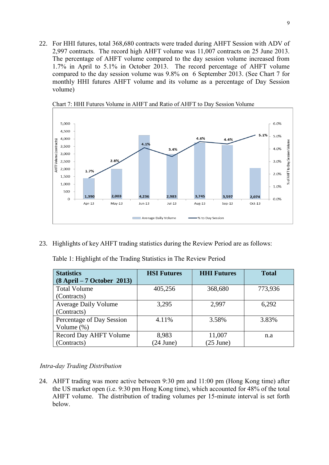22. For HHI futures, total 368,680 contracts were traded during AHFT Session with ADV of 2,997 contracts. The record high AHFT volume was 11,007 contracts on 25 June 2013. The percentage of AHFT volume compared to the day session volume increased from 1.7% in April to 5.1% in October 2013. The record percentage of AHFT volume compared to the day session volume was 9.8% on 6 September 2013. (See Chart 7 for monthly HHI futures AHFT volume and its volume as a percentage of Day Session volume)



Chart 7: HHI Futures Volume in AHFT and Ratio of AHFT to Day Session Volume

23. Highlights of key AHFT trading statistics during the Review Period are as follows:

|  |  |  | Table 1: Highlight of the Trading Statistics in The Review Period |  |  |
|--|--|--|-------------------------------------------------------------------|--|--|
|  |  |  |                                                                   |  |  |
|  |  |  |                                                                   |  |  |
|  |  |  |                                                                   |  |  |

| <b>Statistics</b>            | <b>HSI Futures</b> | <b>HHI Futures</b>  | <b>Total</b> |
|------------------------------|--------------------|---------------------|--------------|
| $(8$ April – 7 October 2013) |                    |                     |              |
| <b>Total Volume</b>          | 405,256            | 368,680             | 773,936      |
| (Contracts)                  |                    |                     |              |
| <b>Average Daily Volume</b>  | 3,295              | 2,997               | 6,292        |
| (Contracts)                  |                    |                     |              |
| Percentage of Day Session    | 4.11%              | 3.58%               | 3.83%        |
| Volume $(\%)$                |                    |                     |              |
| Record Day AHFT Volume       | 8,983              | 11,007              | n.a          |
| (Contracts)                  | $(24$ June)        | $(25 \text{ June})$ |              |

## *Intra-day Trading Distribution*

24. AHFT trading was more active between 9:30 pm and 11:00 pm (Hong Kong time) after the US market open (i.e. 9:30 pm Hong Kong time), which accounted for 48% of the total AHFT volume. The distribution of trading volumes per 15-minute interval is set forth below.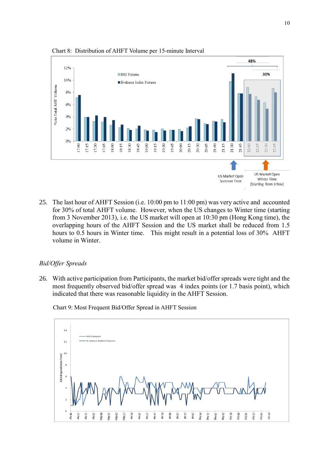

Chart 8: Distribution of AHFT Volume per 15-minute Interval

25. The last hour of AHFT Session (i.e. 10:00 pm to 11:00 pm) was very active and accounted for 30% of total AHFT volume. However, when the US changes to Winter time (starting from 3 November 2013), i.e. the US market will open at 10:30 pm (Hong Kong time), the overlapping hours of the AHFT Session and the US market shall be reduced from 1.5 hours to 0.5 hours in Winter time. This might result in a potential loss of 30% AHFT volume in Winter.

#### *Bid/Offer Spreads*

26. With active participation from Participants, the market bid/offer spreads were tight and the most frequently observed bid/offer spread was 4 index points (or 1.7 basis point), which indicated that there was reasonable liquidity in the AHFT Session.

Chart 9: Most Frequent Bid/Offer Spread in AHFT Session

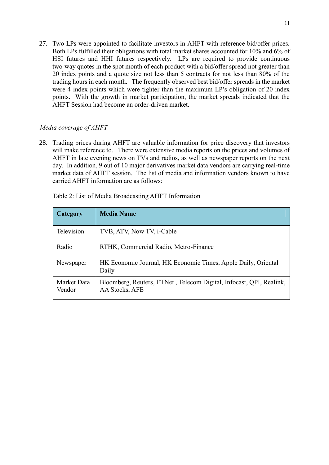27. Two LPs were appointed to facilitate investors in AHFT with reference bid/offer prices. Both LPs fulfilled their obligations with total market shares accounted for 10% and 6% of HSI futures and HHI futures respectively. LPs are required to provide continuous two-way quotes in the spot month of each product with a bid/offer spread not greater than 20 index points and a quote size not less than 5 contracts for not less than 80% of the trading hours in each month. The frequently observed best bid/offer spreads in the market were 4 index points which were tighter than the maximum LP's obligation of 20 index points. With the growth in market participation, the market spreads indicated that the AHFT Session had become an order-driven market.

## *Media coverage of AHFT*

28. Trading prices during AHFT are valuable information for price discovery that investors will make reference to. There were extensive media reports on the prices and volumes of AHFT in late evening news on TVs and radios, as well as newspaper reports on the next day. In addition, 9 out of 10 major derivatives market data vendors are carrying real-time market data of AHFT session. The list of media and information vendors known to have carried AHFT information are as follows:

| Category              | <b>Media Name</b>                                                                     |
|-----------------------|---------------------------------------------------------------------------------------|
| Television            | TVB, ATV, Now TV, i-Cable                                                             |
| Radio                 | RTHK, Commercial Radio, Metro-Finance                                                 |
| Newspaper             | HK Economic Journal, HK Economic Times, Apple Daily, Oriental<br>Daily                |
| Market Data<br>Vendor | Bloomberg, Reuters, ETNet, Telecom Digital, Infocast, QPI, Realink,<br>AA Stocks, AFE |

Table 2: List of Media Broadcasting AHFT Information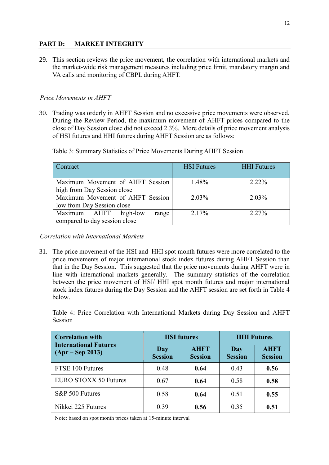## **PART D: MARKET INTEGRITY**

29. This section reviews the price movement, the correlation with international markets and the market-wide risk management measures including price limit, mandatory margin and VA calls and monitoring of CBPL during AHFT.

## *Price Movements in AHFT*

30. Trading was orderly in AHFT Session and no excessive price movements were observed. During the Review Period, the maximum movement of AHFT prices compared to the close of Day Session close did not exceed 2.3%. More details of price movement analysis of HSI futures and HHI futures during AHFT Session are as follows:

| Contract                         | <b>HSI</b> Futures | <b>HHI</b> Futures |  |
|----------------------------------|--------------------|--------------------|--|
| Maximum Movement of AHFT Session | 1.48%              | 2.22%              |  |
| high from Day Session close      |                    |                    |  |
| Maximum Movement of AHFT Session | 2.03%              | $2.03\%$           |  |
| low from Day Session close       |                    |                    |  |
| Maximum AHFT high-low<br>range   | 2.17%              | 2.27%              |  |
| compared to day session close    |                    |                    |  |

Table 3: Summary Statistics of Price Movements During AHFT Session

*Correlation with International Markets*

31. The price movement of the HSI and HHI spot month futures were more correlated to the price movements of major international stock index futures during AHFT Session than that in the Day Session. This suggested that the price movements during AHFT were in line with international markets generally. The summary statistics of the correlation between the price movement of HSI/ HHI spot month futures and major international stock index futures during the Day Session and the AHFT session are set forth in Table 4 below.

Table 4: Price Correlation with International Markets during Day Session and AHFT **Session** 

| <b>Correlation with</b>                            | <b>HSI</b> futures    |                               | <b>HHI Futures</b>    |                               |  |
|----------------------------------------------------|-----------------------|-------------------------------|-----------------------|-------------------------------|--|
| <b>International Futures</b><br>$(Apr - Sep 2013)$ | Day<br><b>Session</b> | <b>AHFT</b><br><b>Session</b> | Day<br><b>Session</b> | <b>AHFT</b><br><b>Session</b> |  |
| FTSE 100 Futures                                   | 0.48                  | 0.64                          | 0.43                  | 0.56                          |  |
| <b>EURO STOXX 50 Futures</b>                       | 0.67                  | 0.64                          | 0.58                  | 0.58                          |  |
| S&P 500 Futures                                    | 0.58                  | 0.64                          | 0.51                  | 0.55                          |  |
| Nikkei 225 Futures                                 | 0.39                  | 0.56                          | 0.35                  | 0.51                          |  |

Note: based on spot month prices taken at 15-minute interval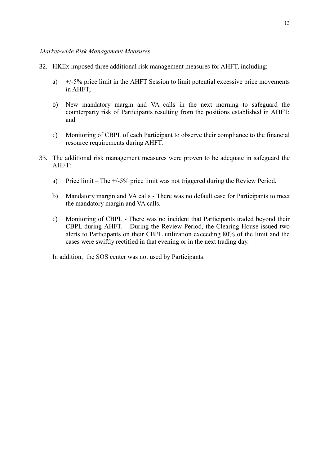#### *Market-wide Risk Management Measures*

- 32. HKEx imposed three additional risk management measures for AHFT, including:
	- a) +/-5% price limit in the AHFT Session to limit potential excessive price movements in AHFT;
	- b) New mandatory margin and VA calls in the next morning to safeguard the counterparty risk of Participants resulting from the positions established in AHFT; and
	- c) Monitoring of CBPL of each Participant to observe their compliance to the financial resource requirements during AHFT.
- 33. The additional risk management measures were proven to be adequate in safeguard the AHFT:
	- a) Price limit The +/-5% price limit was not triggered during the Review Period.
	- b) Mandatory margin and VA calls There was no default case for Participants to meet the mandatory margin and VA calls.
	- c) Monitoring of CBPL There was no incident that Participants traded beyond their CBPL during AHFT. During the Review Period, the Clearing House issued two alerts to Participants on their CBPL utilization exceeding 80% of the limit and the cases were swiftly rectified in that evening or in the next trading day.

In addition, the SOS center was not used by Participants.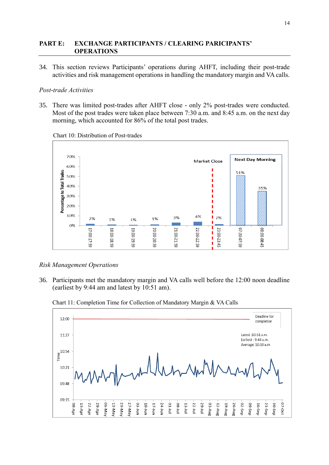## **PART E: EXCHANGE PARTICIPANTS / CLEARING PARICIPANTS' OPERATIONS**

34. This section reviews Participants' operations during AHFT, including their post-trade activities and risk management operations in handling the mandatory margin and VA calls.

## *Post-trade Activities*

35. There was limited post-trades after AHFT close - only 2% post-trades were conducted. Most of the post trades were taken place between 7:30 a.m. and 8:45 a.m. on the next day morning, which accounted for 86% of the total post trades.



Chart 10: Distribution of Post-trades

## *Risk Management Operations*

36. Participants met the mandatory margin and VA calls well before the 12:00 noon deadline (earliest by 9:44 am and latest by 10:51 am).



Chart 11: Completion Time for Collection of Mandatory Margin & VA Calls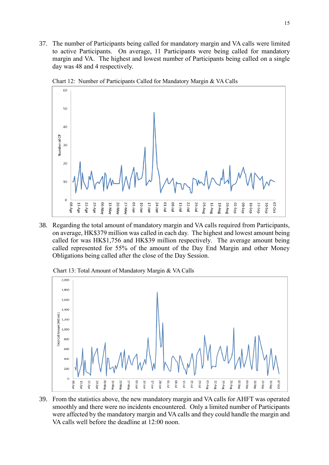37. The number of Participants being called for mandatory margin and VA calls were limited to active Participants. On average, 11 Participants were being called for mandatory margin and VA. The highest and lowest number of Participants being called on a single day was 48 and 4 respectively.



Chart 12: Number of Participants Called for Mandatory Margin & VA Calls

38. Regarding the total amount of mandatory margin and VA calls required from Participants, on average, HK\$379 million was called in each day. The highest and lowest amount being called for was HK\$1,756 and HK\$39 million respectively. The average amount being called represented for 55% of the amount of the Day End Margin and other Money Obligations being called after the close of the Day Session.

Chart 13: Total Amount of Mandatory Margin & VA Calls



39. From the statistics above, the new mandatory margin and VA calls for AHFT was operated smoothly and there were no incidents encountered. Only a limited number of Participants were affected by the mandatory margin and VA calls and they could handle the margin and VA calls well before the deadline at 12:00 noon.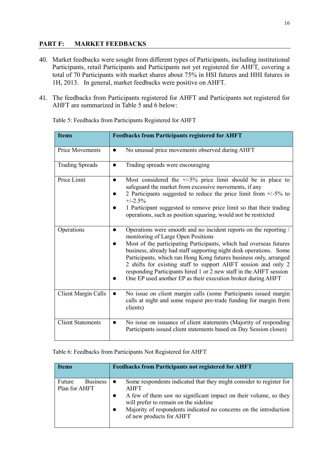## **PART F: MARKET FEEDBACKS**

- 40. Market feedbacks were sought from different types of Participants, including institutional Participants, retail Participants and Participants not yet registered for AHFT, covering a total of 70 Participants with market shares about 75% in HSI futures and HHI futures in 1H, 2013. In general, market feedbacks were positive on AHFT.
- 41. The feedbacks from Participants registered for AHFT and Participants not registered for AHFT are summarized in Table 5 and 6 below:

| <b>Items</b>             | <b>Feedbacks from Participants registered for AHFT</b>                                                                                                                                                                                                                                                                                                                                                                                                                                                                           |
|--------------------------|----------------------------------------------------------------------------------------------------------------------------------------------------------------------------------------------------------------------------------------------------------------------------------------------------------------------------------------------------------------------------------------------------------------------------------------------------------------------------------------------------------------------------------|
| <b>Price Movements</b>   | No unusual price movements observed during AHFT                                                                                                                                                                                                                                                                                                                                                                                                                                                                                  |
| <b>Trading Spreads</b>   | Trading spreads were encouraging                                                                                                                                                                                                                                                                                                                                                                                                                                                                                                 |
| Price Limit              | Most considered the $+/5\%$ price limit should be in place to<br>safeguard the market from excessive movements, if any<br>2 Participants suggested to reduce the price limit from $+/5\%$ to<br>$+/-2.5%$<br>1 Participant suggested to remove price limit so that their trading<br>operations, such as position squaring, would not be restricted                                                                                                                                                                               |
| Operations               | Operations were smooth and no incident reports on the reporting /<br>monitoring of Large Open Positions<br>Most of the participating Participants, which had overseas futures<br>business, already had staff supporting night desk operations. Some<br>Participants, which ran Hong Kong futures business only, arranged<br>2 shifts for existing staff to support AHFT session and only 2<br>responding Participants hired 1 or 2 new staff in the AHFT session<br>One EP used another EP as their execution broker during AHFT |
| Client Margin Calls      | No issue on client margin calls (some Participants issued margin<br>calls at night and some request pre-trade funding for margin from<br>clients)                                                                                                                                                                                                                                                                                                                                                                                |
| <b>Client Statements</b> | No issue on issuance of client statements (Majority of responding<br>$\bullet$<br>Participants issued client statements based on Day Session closes)                                                                                                                                                                                                                                                                                                                                                                             |

Table 5: Feedbacks from Participants Registered for AHFT

## Table 6: Feedbacks from Participants Not Registered for AHFT

| <b>Items</b>                               | <b>Feedbacks from Participants not registered for AHFT</b>                                                                                                                                                                                                                                       |
|--------------------------------------------|--------------------------------------------------------------------------------------------------------------------------------------------------------------------------------------------------------------------------------------------------------------------------------------------------|
| Future<br><b>Business</b><br>Plan for AHFT | Some respondents indicated that they might consider to register for<br><b>AHFT</b><br>A few of them saw no significant impact on their volume, so they<br>will prefer to remain on the sideline<br>Majority of respondents indicated no concerns on the introduction<br>of new products for AHFT |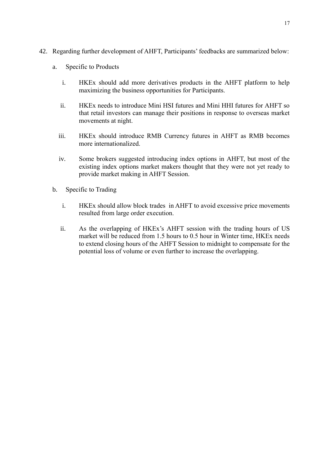- 42. Regarding further development of AHFT, Participants' feedbacks are summarized below:
	- a. Specific to Products
		- i. HKEx should add more derivatives products in the AHFT platform to help maximizing the business opportunities for Participants.
		- ii. HKEx needs to introduce Mini HSI futures and Mini HHI futures for AHFT so that retail investors can manage their positions in response to overseas market movements at night.
		- iii. HKEx should introduce RMB Currency futures in AHFT as RMB becomes more internationalized.
		- iv. Some brokers suggested introducing index options in AHFT, but most of the existing index options market makers thought that they were not yet ready to provide market making in AHFT Session.
	- b. Specific to Trading
		- i. HKEx should allow block trades in AHFT to avoid excessive price movements resulted from large order execution.
		- ii. As the overlapping of HKEx's AHFT session with the trading hours of US market will be reduced from 1.5 hours to 0.5 hour in Winter time, HKEx needs to extend closing hours of the AHFT Session to midnight to compensate for the potential loss of volume or even further to increase the overlapping.